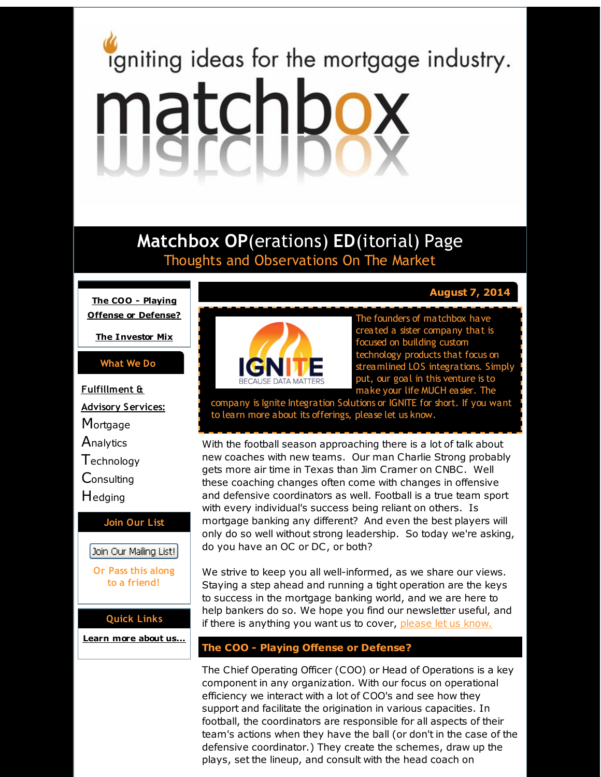# <span id="page-0-0"></span>igniting ideas for the mortgage industry. matchbox

# **Matchbox OP**(erations) **ED**(itorial) Page Thoughts and Observations On The Market

**The COO - Playing Offense or [Defense?](#page-0-0)**

**The [Investor](#page-0-0) Mix**

#### **What We Do**

**Fulfillment & Advisory Services: Mortgage Analytics T**echnology **Consulting** Hedging

#### **Join Our List**

Join Our Mailing List!

**Or Pass this along to a friend!**

#### **Quick Links**

**[Learn](http://r20.rs6.net/tn.jsp?f=001Pt1GQu3yH_Eb73OBxYrAuIAaZ5BFx_wyJ5RzlKCR_zGutxZ9gWFz2aQDVRvn8SOiGJfZ4rlkUzVSSOXmy_ctle_-qTk73dhQLeGiSzOZrJXXvaH82PhF-xImzapK-VA6Ll6dgIREgMI15-blvt4E8KS7GeC4qROoLMh4f2sl4RjdsYHSjzao3Q==&c=&ch=) more about u[s...](http://r20.rs6.net/tn.jsp?f=001Pt1GQu3yH_Eb73OBxYrAuIAaZ5BFx_wyJ5RzlKCR_zGutxZ9gWFz2aQDVRvn8SOiGJfZ4rlkUzVSSOXmy_ctle_-qTk73dhQLeGiSzOZrJXXvaH82PhF-xImzapK-VA6Ll6dgIREgMI15-blvt4E8KS7GeC4qROoLMh4f2sl4RjdsYHSjzao3Q==&c=&ch=)**



The founders of matchbox have created a sister company that is focused on building custom technology products that focus on streamlined LOS integrations. Simply put, our goal in this venture is to make your life MUCH easier. The

company is Ignite Integration Solutions or IGNITE for short. If you want to learn more about its offerings, please let us know.

With the football season approaching there is a lot of talk about new coaches with new teams. Our man Charlie Strong probably gets more air time in Texas than Jim Cramer on CNBC. Well these coaching changes often come with changes in offensive and defensive coordinators as well. Football is a true team sport with every individual's success being reliant on others. Is mortgage banking any different? And even the best players will only do so well without strong leadership. So today we're asking, do you have an OC or DC, or both?

We strive to keep you all well-informed, as we share our views. Staying a step ahead and running a tight operation are the keys to success in the mortgage banking world, and we are here to help bankers do so. We hope you find our newsletter useful, and if there is anything you want us to cover, [please](http://r20.rs6.net/tn.jsp?f=001Pt1GQu3yH_Eb73OBxYrAuIAaZ5BFx_wyJ5RzlKCR_zGutxZ9gWFz2RLBfyyX_U0OeQuYEaeEurEC4DYu-k8vXXvvTmtXq8jNp4fzA5fKJwZYvwNBiIQdtEyepjDIsirTEHigJinRb2yBQgaHbhdhGmZXyHl0AEYNIxRXzdpcvS4O-r-lDZzPWDAsQUUmUReU&c=&ch=) let us know.

### **The COO - Playing Offense or Defense?**

The Chief Operating Officer (COO) or Head of Operations is a key component in any organization. With our focus on operational efficiency we interact with a lot of COO's and see how they support and facilitate the origination in various capacities. In football, the coordinators are responsible for all aspects of their team's actions when they have the ball (or don't in the case of the defensive coordinator.) They create the schemes, draw up the plays, set the lineup, and consult with the head coach on

## **August 7, 2014**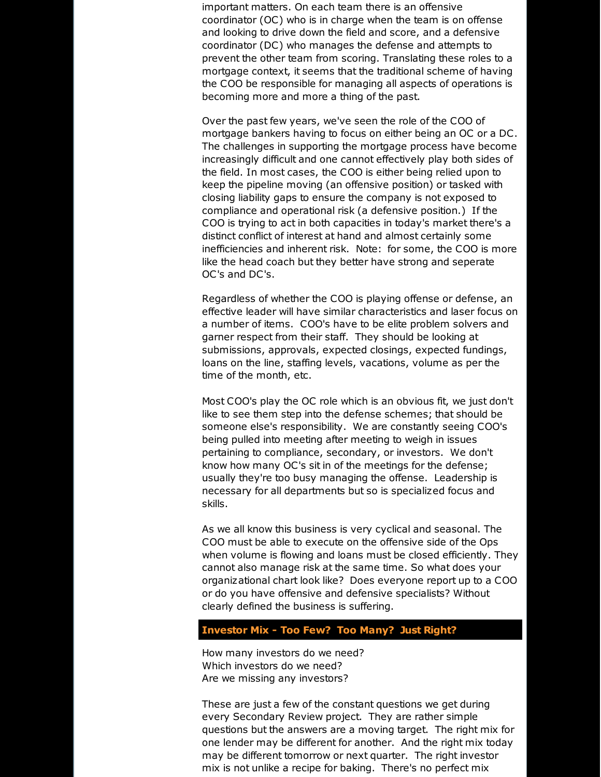important matters. On each team there is an offensive coordinator (OC) who is in charge when the team is on offense and looking to drive down the field and score, and a defensive coordinator (DC) who manages the defense and attempts to prevent the other team from scoring. Translating these roles to a mortgage context, it seems that the traditional scheme of having the COO be responsible for managing all aspects of operations is becoming more and more a thing of the past.

Over the past few years, we've seen the role of the COO of mortgage bankers having to focus on either being an OC or a DC. The challenges in supporting the mortgage process have become increasingly difficult and one cannot effectively play both sides of the field. In most cases, the COO is either being relied upon to keep the pipeline moving (an offensive position) or tasked with closing liability gaps to ensure the company is not exposed to compliance and operational risk (a defensive position.) If the COO is trying to act in both capacities in today's market there's a distinct conflict of interest at hand and almost certainly some inefficiencies and inherent risk. Note: for some, the COO is more like the head coach but they better have strong and seperate OC's and DC's.

Regardless of whether the COO is playing offense or defense, an effective leader will have similar characteristics and laser focus on a number of items. COO's have to be elite problem solvers and garner respect from their staff. They should be looking at submissions, approvals, expected closings, expected fundings, loans on the line, staffing levels, vacations, volume as per the time of the month, etc.

Most COO's play the OC role which is an obvious fit, we just don't like to see them step into the defense schemes; that should be someone else's responsibility. We are constantly seeing COO's being pulled into meeting after meeting to weigh in issues pertaining to compliance, secondary, or investors. We don't know how many OC's sit in of the meetings for the defense; usually they're too busy managing the offense. Leadership is necessary for all departments but so is specialized focus and skills.

As we all know this business is very cyclical and seasonal. The COO must be able to execute on the offensive side of the Ops when volume is flowing and loans must be closed efficiently. They cannot also manage risk at the same time. So what does your organizational chart look like? Does everyone report up to a COO or do you have offensive and defensive specialists? Without clearly defined the business is suffering.

#### **Investor Mix - Too Few? Too Many? Just Right?**

How many investors do we need? Which investors do we need? Are we missing any investors?

These are just a few of the constant questions we get during every Secondary Review project. They are rather simple questions but the answers are a moving target. The right mix for one lender may be different for another. And the right mix today may be different tomorrow or next quarter. The right investor mix is not unlike a recipe for baking. There's no perfect mix